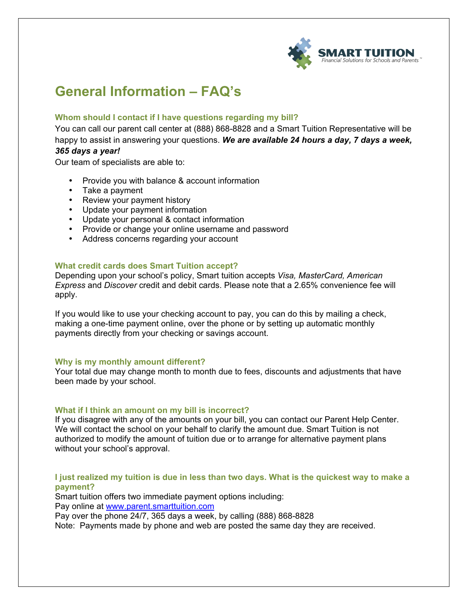

# **General Information – FAQ's**

# **Whom should I contact if I have questions regarding my bill?**

You can call our parent call center at (888) 868-8828 and a Smart Tuition Representative will be happy to assist in answering your questions. *We are available 24 hours a day, 7 days a week,* 

# *365 days a year!*

Our team of specialists are able to:

- Provide you with balance & account information
- Take a payment
- Review your payment history
- Update your payment information
- Update your personal & contact information
- Provide or change your online username and password
- Address concerns regarding your account

# **What credit cards does Smart Tuition accept?**

Depending upon your school's policy, Smart tuition accepts *Visa, MasterCard, American Express* and *Discover* credit and debit cards. Please note that a 2.65% convenience fee will apply.

If you would like to use your checking account to pay, you can do this by mailing a check, making a one-time payment online, over the phone or by setting up automatic monthly payments directly from your checking or savings account.

# **Why is my monthly amount different?**

Your total due may change month to month due to fees, discounts and adjustments that have been made by your school.

# **What if I think an amount on my bill is incorrect?**

If you disagree with any of the amounts on your bill, you can contact our Parent Help Center. We will contact the school on your behalf to clarify the amount due. Smart Tuition is not authorized to modify the amount of tuition due or to arrange for alternative payment plans without your school's approval.

# **I just realized my tuition is due in less than two days. What is the quickest way to make a payment?**

Smart tuition offers two immediate payment options including: Pay online at www.parent.smarttuition.com

Pay over the phone 24/7, 365 days a week, by calling (888) 868-8828

Note: Payments made by phone and web are posted the same day they are received.